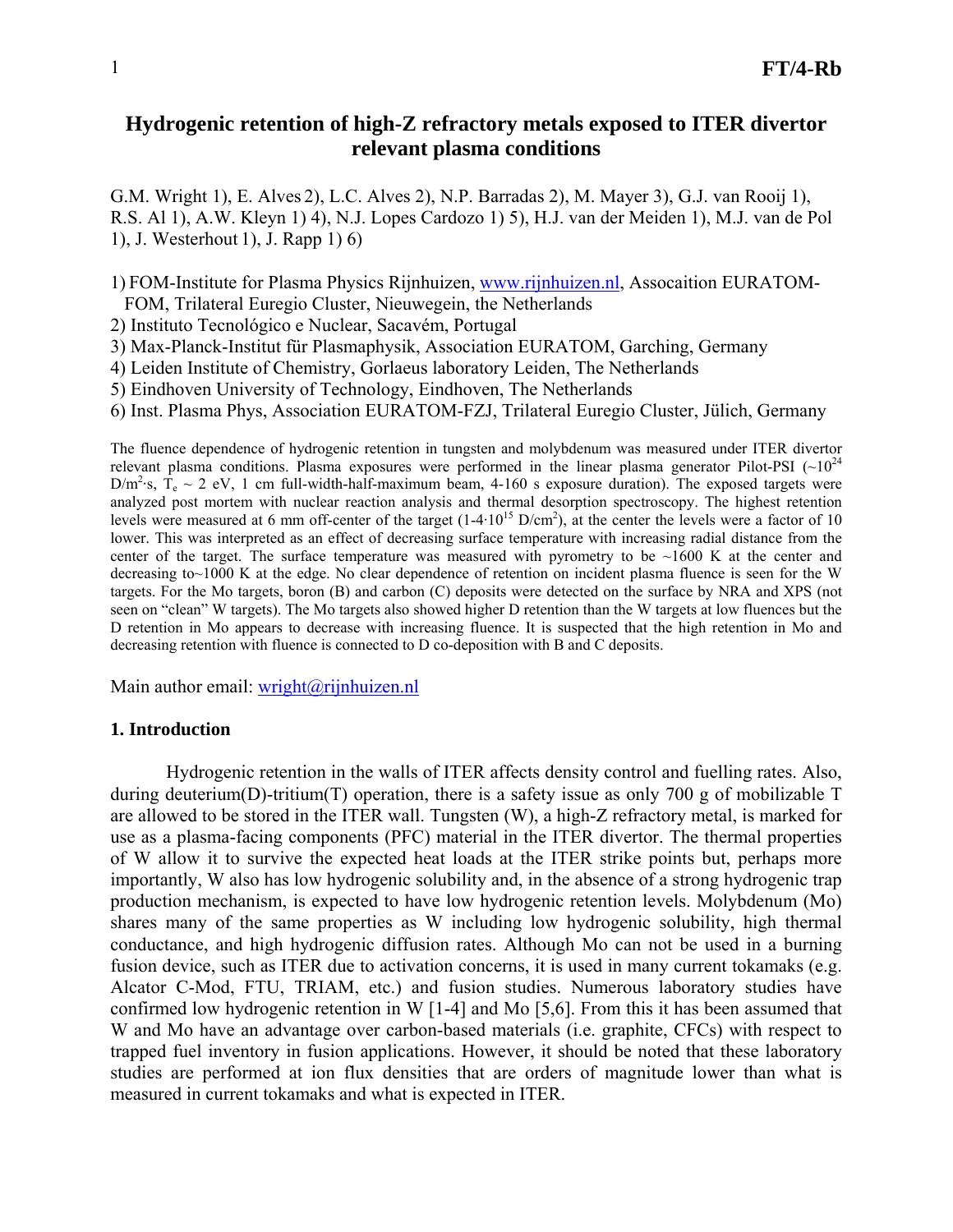# **Hydrogenic retention of high-Z refractory metals exposed to ITER divertor relevant plasma conditions**

G.M. Wright 1), E. Alves 2), L.C. Alves 2), N.P. Barradas 2), M. Mayer 3), G.J. van Rooij 1), R.S. Al 1), A.W. Kleyn 1) 4), N.J. Lopes Cardozo 1) 5), H.J. van der Meiden 1), M.J. van de Pol 1), J. Westerhout 1), J. Rapp 1) 6)

1) FOM-Institute for Plasma Physics Rijnhuizen, [www.rijnhuizen.nl](http://www.rijnhuizen.nl/), Assocaition EURATOM-

FOM, Trilateral Euregio Cluster, Nieuwegein, the Netherlands

2) Instituto Tecnológico e Nuclear, Sacavém, Portugal

3) Max-Planck-Institut für Plasmaphysik, Association EURATOM, Garching, Germany

4) Leiden Institute of Chemistry, Gorlaeus laboratory Leiden, The Netherlands

5) Eindhoven University of Technology, Eindhoven, The Netherlands

6) Inst. Plasma Phys, Association EURATOM-FZJ, Trilateral Euregio Cluster, Jülich, Germany

The fluence dependence of hydrogenic retention in tungsten and molybdenum was measured under ITER divertor relevant plasma conditions. Plasma exposures were performed in the linear plasma generator Pilot-PSI  $(\sim 10^{24}$  $D/m^2$ ·s,  $T_e \sim 2$  eV, 1 cm full-width-half-maximum beam, 4-160 s exposure duration). The exposed targets were analyzed post mortem with nuclear reaction analysis and thermal desorption spectroscopy. The highest retention levels were measured at 6 mm off-center of the target  $(1-4.10^{15} \text{ D/cm}^2)$ , at the center the levels were a factor of 10 lower. This was interpreted as an effect of decreasing surface temperature with increasing radial distance from the center of the target. The surface temperature was measured with pyrometry to be  $\sim$ 1600 K at the center and decreasing to~1000 K at the edge. No clear dependence of retention on incident plasma fluence is seen for the W targets. For the Mo targets, boron (B) and carbon (C) deposits were detected on the surface by NRA and XPS (not seen on "clean" W targets). The Mo targets also showed higher D retention than the W targets at low fluences but the D retention in Mo appears to decrease with increasing fluence. It is suspected that the high retention in Mo and decreasing retention with fluence is connected to D co-deposition with B and C deposits.

Main author email: [wright@rijnhuizen.nl](mailto:wright@rijnhuizen.nl)

# **1. Introduction**

 Hydrogenic retention in the walls of ITER affects density control and fuelling rates. Also, during deuterium(D)-tritium(T) operation, there is a safety issue as only 700 g of mobilizable T are allowed to be stored in the ITER wall. Tungsten (W), a high-Z refractory metal, is marked for use as a plasma-facing components (PFC) material in the ITER divertor. The thermal properties of W allow it to survive the expected heat loads at the ITER strike points but, perhaps more importantly, W also has low hydrogenic solubility and, in the absence of a strong hydrogenic trap production mechanism, is expected to have low hydrogenic retention levels. Molybdenum (Mo) shares many of the same properties as W including low hydrogenic solubility, high thermal conductance, and high hydrogenic diffusion rates. Although Mo can not be used in a burning fusion device, such as ITER due to activation concerns, it is used in many current tokamaks (e.g. Alcator C-Mod, FTU, TRIAM, etc.) and fusion studies. Numerous laboratory studies have confirmed low hydrogenic retention in W [1-4] and Mo [5,6]. From this it has been assumed that W and Mo have an advantage over carbon-based materials (i.e. graphite, CFCs) with respect to trapped fuel inventory in fusion applications. However, it should be noted that these laboratory studies are performed at ion flux densities that are orders of magnitude lower than what is measured in current tokamaks and what is expected in ITER.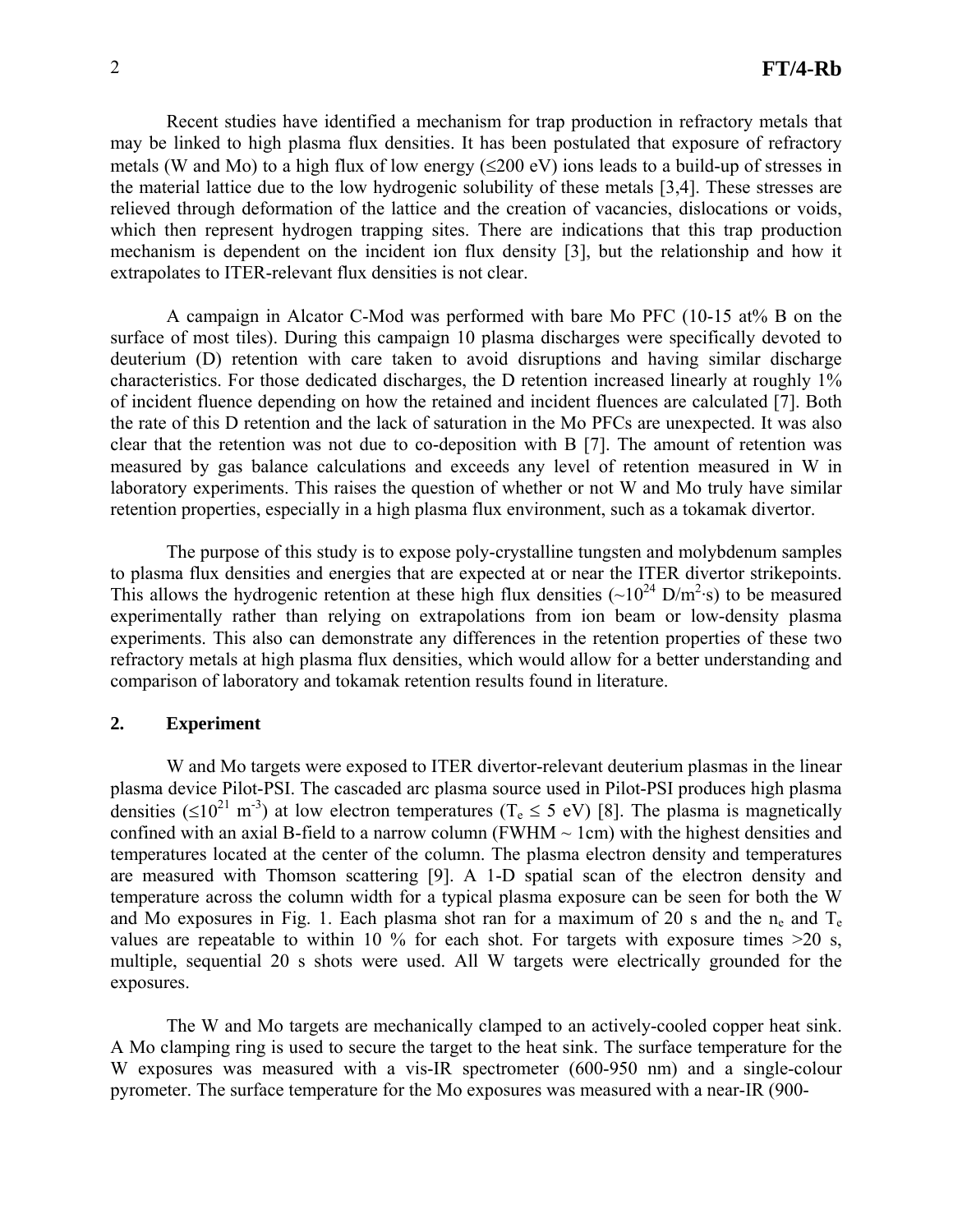Recent studies have identified a mechanism for trap production in refractory metals that may be linked to high plasma flux densities. It has been postulated that exposure of refractory metals (W and Mo) to a high flux of low energy  $(\leq 200 \text{ eV})$  ions leads to a build-up of stresses in the material lattice due to the low hydrogenic solubility of these metals [3,4]. These stresses are relieved through deformation of the lattice and the creation of vacancies, dislocations or voids, which then represent hydrogen trapping sites. There are indications that this trap production mechanism is dependent on the incident ion flux density [3], but the relationship and how it extrapolates to ITER-relevant flux densities is not clear.

 A campaign in Alcator C-Mod was performed with bare Mo PFC (10-15 at% B on the surface of most tiles). During this campaign 10 plasma discharges were specifically devoted to deuterium (D) retention with care taken to avoid disruptions and having similar discharge characteristics. For those dedicated discharges, the D retention increased linearly at roughly 1% of incident fluence depending on how the retained and incident fluences are calculated [7]. Both the rate of this D retention and the lack of saturation in the Mo PFCs are unexpected. It was also clear that the retention was not due to co-deposition with B [7]. The amount of retention was measured by gas balance calculations and exceeds any level of retention measured in W in laboratory experiments. This raises the question of whether or not W and Mo truly have similar retention properties, especially in a high plasma flux environment, such as a tokamak divertor.

 The purpose of this study is to expose poly-crystalline tungsten and molybdenum samples to plasma flux densities and energies that are expected at or near the ITER divertor strikepoints. This allows the hydrogenic retention at these high flux densities  $({\sim}10^{24} \text{ D/m}^2 \text{·s})$  to be measured experimentally rather than relying on extrapolations from ion beam or low-density plasma experiments. This also can demonstrate any differences in the retention properties of these two refractory metals at high plasma flux densities, which would allow for a better understanding and comparison of laboratory and tokamak retention results found in literature.

## **2. Experiment**

 W and Mo targets were exposed to ITER divertor-relevant deuterium plasmas in the linear plasma device Pilot-PSI. The cascaded arc plasma source used in Pilot-PSI produces high plasma densities ( $\leq 10^{21}$  m<sup>-3</sup>) at low electron temperatures (T<sub>e</sub>  $\leq$  5 eV) [8]. The plasma is magnetically confined with an axial B-field to a narrow column (FWHM  $\sim$  1cm) with the highest densities and temperatures located at the center of the column. The plasma electron density and temperatures are measured with Thomson scattering [9]. A 1-D spatial scan of the electron density and temperature across the column width for a typical plasma exposure can be seen for both the W and Mo exposures in Fig. 1. Each plasma shot ran for a maximum of 20 s and the n<sub>e</sub> and  $T_e$ values are repeatable to within 10 % for each shot. For targets with exposure times  $>20$  s, multiple, sequential 20 s shots were used. All W targets were electrically grounded for the exposures.

 The W and Mo targets are mechanically clamped to an actively-cooled copper heat sink. A Mo clamping ring is used to secure the target to the heat sink. The surface temperature for the W exposures was measured with a vis-IR spectrometer (600-950 nm) and a single-colour pyrometer. The surface temperature for the Mo exposures was measured with a near-IR (900-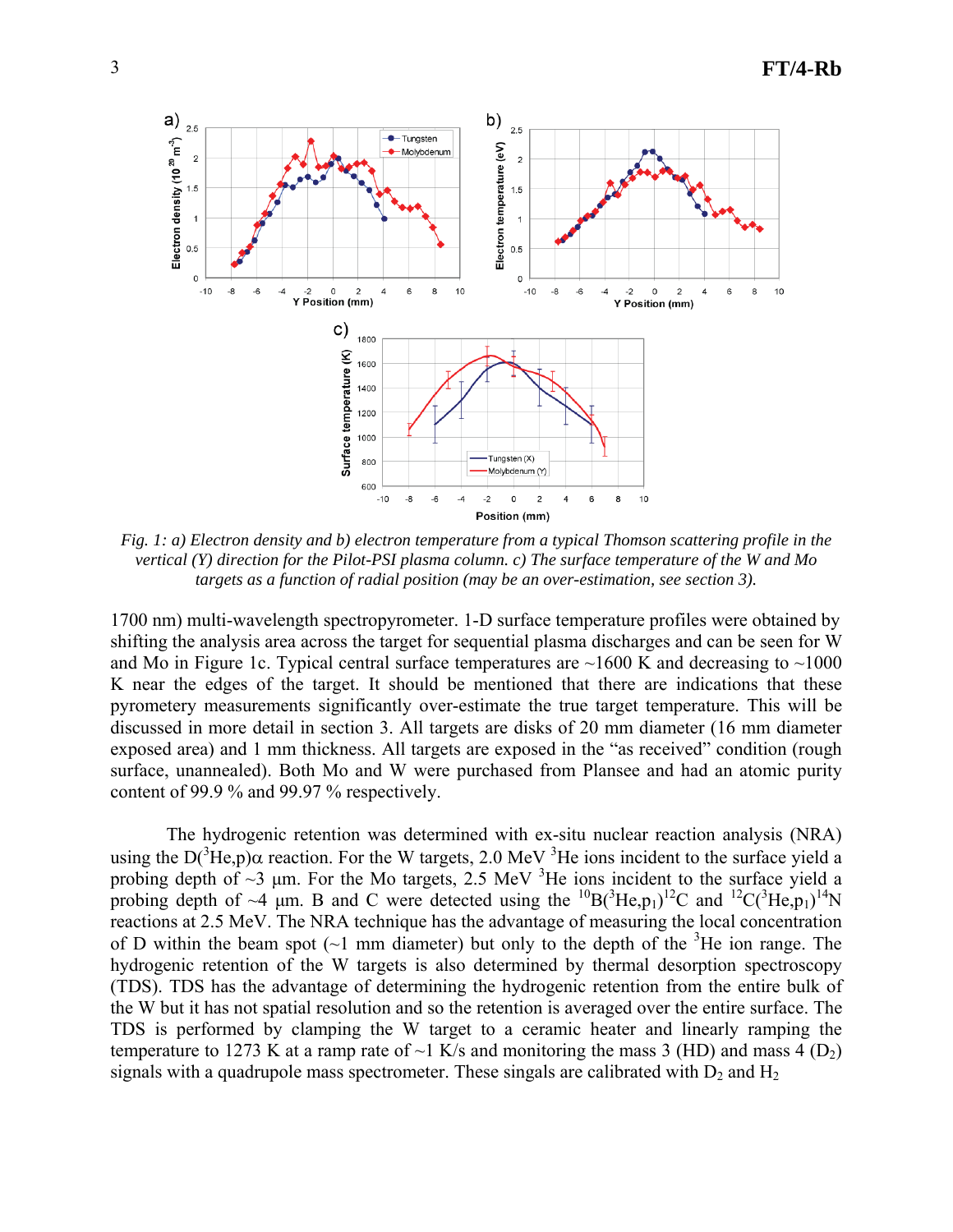

*Fig. 1: a) Electron density and b) electron temperature from a typical Thomson scattering profile in the vertical (Y) direction for the Pilot-PSI plasma column. c) The surface temperature of the W and Mo targets as a function of radial position (may be an over-estimation, see section 3).* 

1700 nm) multi-wavelength spectropyrometer. 1-D surface temperature profiles were obtained by shifting the analysis area across the target for sequential plasma discharges and can be seen for W and Mo in Figure 1c. Typical central surface temperatures are  $\sim$ 1600 K and decreasing to  $\sim$ 1000 K near the edges of the target. It should be mentioned that there are indications that these pyrometery measurements significantly over-estimate the true target temperature. This will be discussed in more detail in section 3. All targets are disks of 20 mm diameter (16 mm diameter exposed area) and 1 mm thickness. All targets are exposed in the "as received" condition (rough surface, unannealed). Both Mo and W were purchased from Plansee and had an atomic purity content of 99.9 % and 99.97 % respectively.

 The hydrogenic retention was determined with ex-situ nuclear reaction analysis (NRA) using the D( ${}^{3}$ He,p) $\alpha$  reaction. For the W targets, 2.0 MeV  ${}^{3}$ He ions incident to the surface yield a probing depth of  $\sim$ 3 µm. For the Mo targets, 2.5 MeV  $^3$ He ions incident to the surface yield a probing depth of ~4  $\mu$ m. B and C were detected using the <sup>10</sup>B(<sup>3</sup>He,p<sub>1</sub>)<sup>12</sup>C and <sup>12</sup>C(<sup>3</sup>He,p<sub>1</sub>)<sup>14</sup>N reactions at 2.5 MeV. The NRA technique has the advantage of measuring the local concentration of D within the beam spot  $(-1)$  mm diameter) but only to the depth of the <sup>3</sup>He ion range. The hydrogenic retention of the W targets is also determined by thermal desorption spectroscopy (TDS). TDS has the advantage of determining the hydrogenic retention from the entire bulk of the W but it has not spatial resolution and so the retention is averaged over the entire surface. The TDS is performed by clamping the W target to a ceramic heater and linearly ramping the temperature to 1273 K at a ramp rate of  $\sim$ 1 K/s and monitoring the mass 3 (HD) and mass 4 (D<sub>2</sub>) signals with a quadrupole mass spectrometer. These singals are calibrated with  $D_2$  and  $H_2$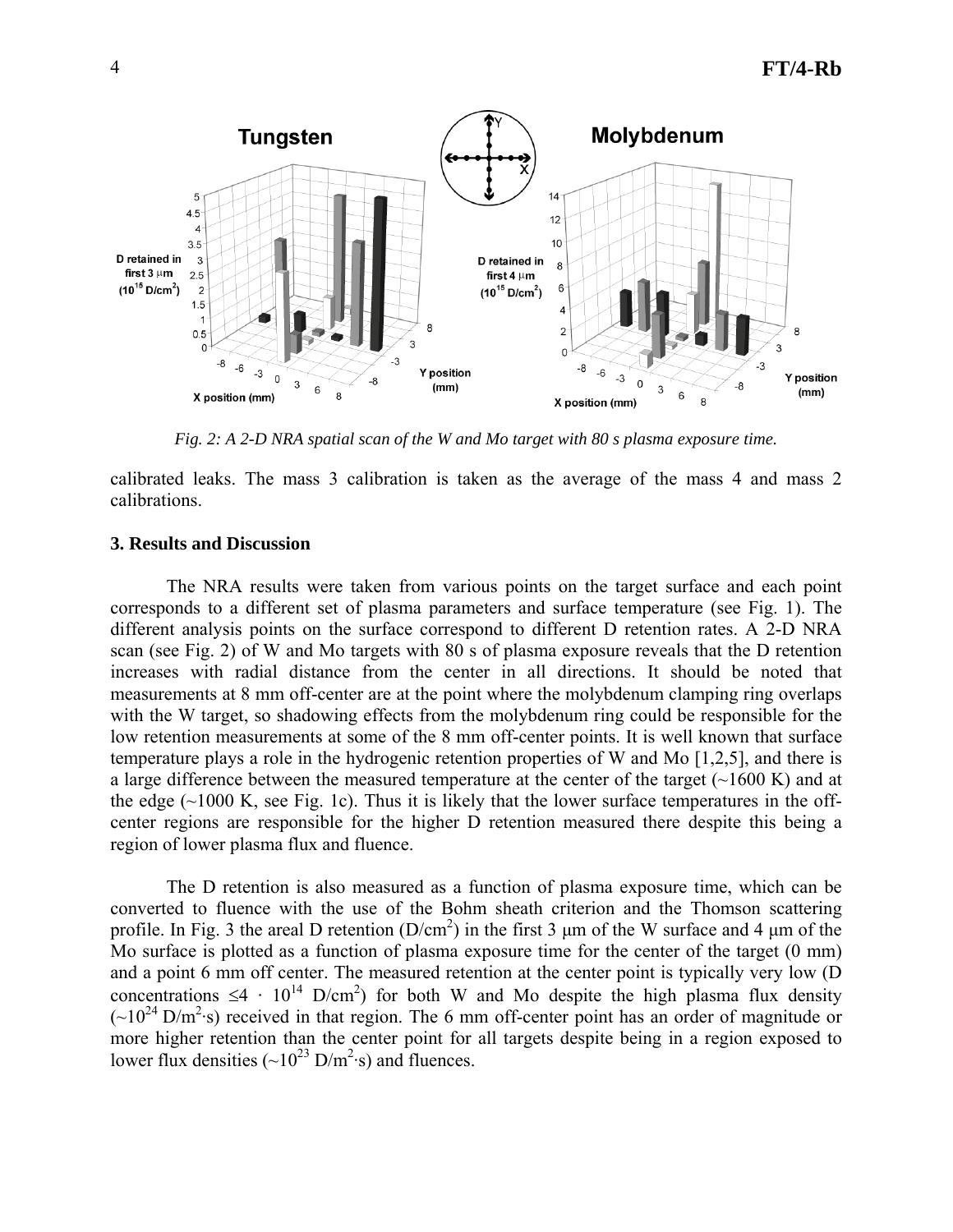

*Fig. 2: A 2-D NRA spatial scan of the W and Mo target with 80 s plasma exposure time.* 

calibrated leaks. The mass 3 calibration is taken as the average of the mass 4 and mass 2 calibrations.

#### **3. Results and Discussion**

The NRA results were taken from various points on the target surface and each point corresponds to a different set of plasma parameters and surface temperature (see Fig. 1). The different analysis points on the surface correspond to different D retention rates. A 2-D NRA scan (see Fig. 2) of W and Mo targets with 80 s of plasma exposure reveals that the D retention increases with radial distance from the center in all directions. It should be noted that measurements at 8 mm off-center are at the point where the molybdenum clamping ring overlaps with the W target, so shadowing effects from the molybdenum ring could be responsible for the low retention measurements at some of the 8 mm off-center points. It is well known that surface temperature plays a role in the hydrogenic retention properties of W and Mo [1,2,5], and there is a large difference between the measured temperature at the center of the target  $(\sim 1600 \text{ K})$  and at the edge  $(\sim 1000 \text{ K}$ , see Fig. 1c). Thus it is likely that the lower surface temperatures in the offcenter regions are responsible for the higher D retention measured there despite this being a region of lower plasma flux and fluence.

The D retention is also measured as a function of plasma exposure time, which can be converted to fluence with the use of the Bohm sheath criterion and the Thomson scattering profile. In Fig. 3 the areal D retention  $(D/cm^2)$  in the first 3 µm of the W surface and 4 µm of the Mo surface is plotted as a function of plasma exposure time for the center of the target (0 mm) and a point 6 mm off center. The measured retention at the center point is typically very low (D concentrations  $\leq 4 \cdot 10^{14}$  D/cm<sup>2</sup>) for both W and Mo despite the high plasma flux density  $({\sim}10^{24} \text{ D/m}^2 \text{ s})$  received in that region. The 6 mm off-center point has an order of magnitude or more higher retention than the center point for all targets despite being in a region exposed to lower flux densities  $({\sim}10^{23} \text{ D/m}^2 \text{ s})$  and fluences.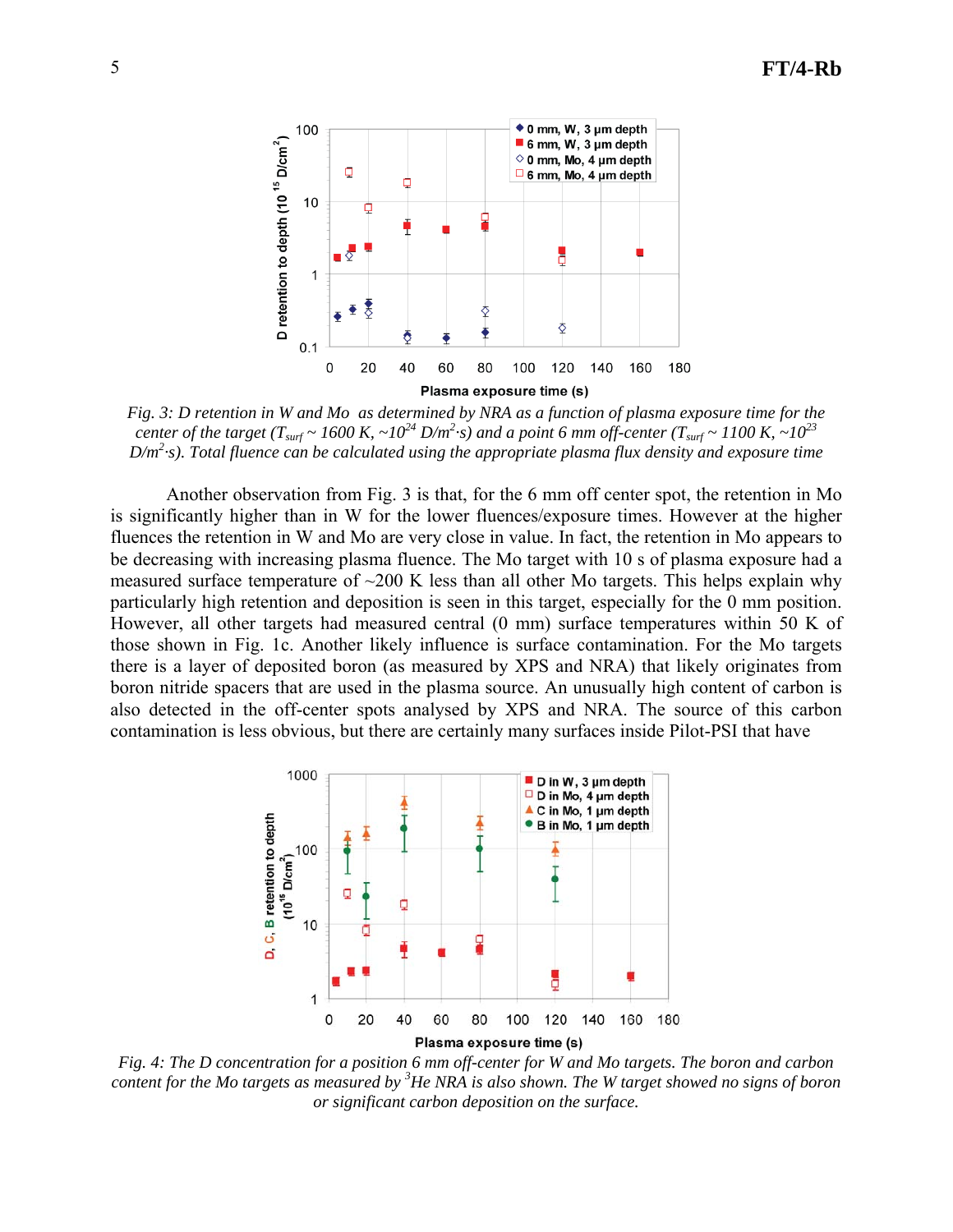

*Fig. 3: D retention in W and Mo as determined by NRA as a function of plasma exposure time for the center of the target (T<sub>surf</sub> ~ 1600 K, ~10<sup>24</sup> D/m<sup>2</sup>·s) and a point 6 mm off-center (T<sub>surf</sub> ~ 1100 K, ~10<sup>23</sup> D/m2 ·s). Total fluence can be calculated using the appropriate plasma flux density and exposure time*

Another observation from Fig. 3 is that, for the 6 mm off center spot, the retention in Mo is significantly higher than in W for the lower fluences/exposure times. However at the higher fluences the retention in W and Mo are very close in value. In fact, the retention in Mo appears to be decreasing with increasing plasma fluence. The Mo target with 10 s of plasma exposure had a measured surface temperature of  $\sim$ 200 K less than all other Mo targets. This helps explain why particularly high retention and deposition is seen in this target, especially for the 0 mm position. However, all other targets had measured central (0 mm) surface temperatures within 50 K of those shown in Fig. 1c. Another likely influence is surface contamination. For the Mo targets there is a layer of deposited boron (as measured by XPS and NRA) that likely originates from boron nitride spacers that are used in the plasma source. An unusually high content of carbon is also detected in the off-center spots analysed by XPS and NRA. The source of this carbon contamination is less obvious, but there are certainly many surfaces inside Pilot-PSI that have



*Fig. 4: The D concentration for a position 6 mm off-center for W and Mo targets. The boron and carbon content for the Mo targets as measured by <sup>3</sup> He NRA is also shown. The W target showed no signs of boron or significant carbon deposition on the surface.*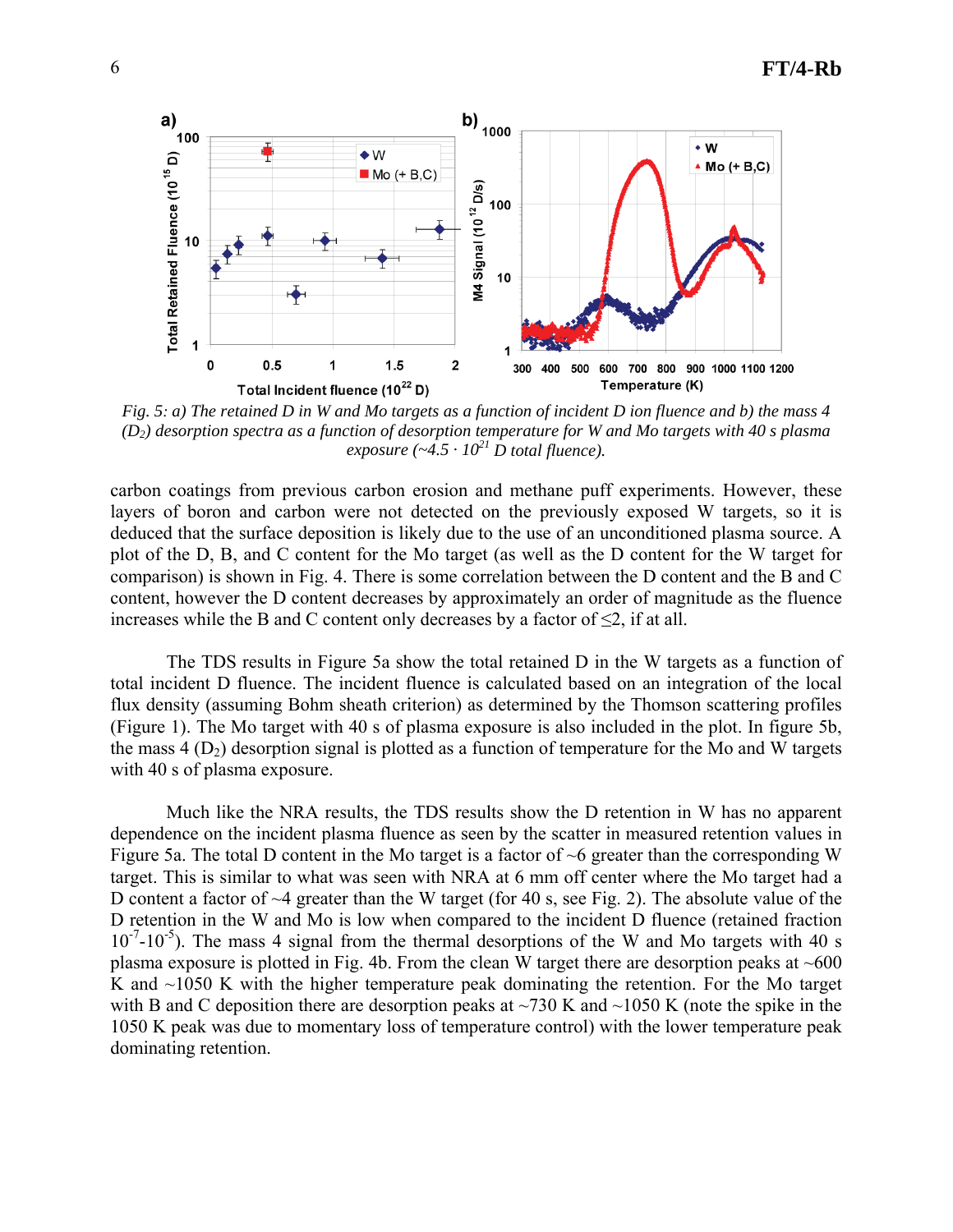

*Fig. 5: a) The retained D in W and Mo targets as a function of incident D ion fluence and b) the mass 4 (D2) desorption spectra as a function of desorption temperature for W and Mo targets with 40 s plasma exposure* ( $-4.5 \cdot 10^{21}$  D total fluence).

carbon coatings from previous carbon erosion and methane puff experiments. However, these layers of boron and carbon were not detected on the previously exposed W targets, so it is deduced that the surface deposition is likely due to the use of an unconditioned plasma source. A plot of the D, B, and C content for the Mo target (as well as the D content for the W target for comparison) is shown in Fig. 4. There is some correlation between the D content and the B and C content, however the D content decreases by approximately an order of magnitude as the fluence increases while the B and C content only decreases by a factor of  $\leq 2$ , if at all.

The TDS results in Figure 5a show the total retained D in the W targets as a function of total incident D fluence. The incident fluence is calculated based on an integration of the local flux density (assuming Bohm sheath criterion) as determined by the Thomson scattering profiles (Figure 1). The Mo target with 40 s of plasma exposure is also included in the plot. In figure 5b, the mass  $4 (D<sub>2</sub>)$  desorption signal is plotted as a function of temperature for the Mo and W targets with 40 s of plasma exposure.

Much like the NRA results, the TDS results show the D retention in W has no apparent dependence on the incident plasma fluence as seen by the scatter in measured retention values in Figure 5a. The total D content in the Mo target is a factor of  $\sim$ 6 greater than the corresponding W target. This is similar to what was seen with NRA at 6 mm off center where the Mo target had a D content a factor of  $\sim$ 4 greater than the W target (for 40 s, see Fig. 2). The absolute value of the D retention in the W and Mo is low when compared to the incident D fluence (retained fraction  $10^{-7}$ - $10^{-5}$ ). The mass 4 signal from the thermal desorptions of the W and Mo targets with 40 s plasma exposure is plotted in Fig. 4b. From the clean W target there are desorption peaks at  $~600$ K and  $\sim$ 1050 K with the higher temperature peak dominating the retention. For the Mo target with B and C deposition there are desorption peaks at  $\sim$ 730 K and  $\sim$ 1050 K (note the spike in the 1050 K peak was due to momentary loss of temperature control) with the lower temperature peak dominating retention.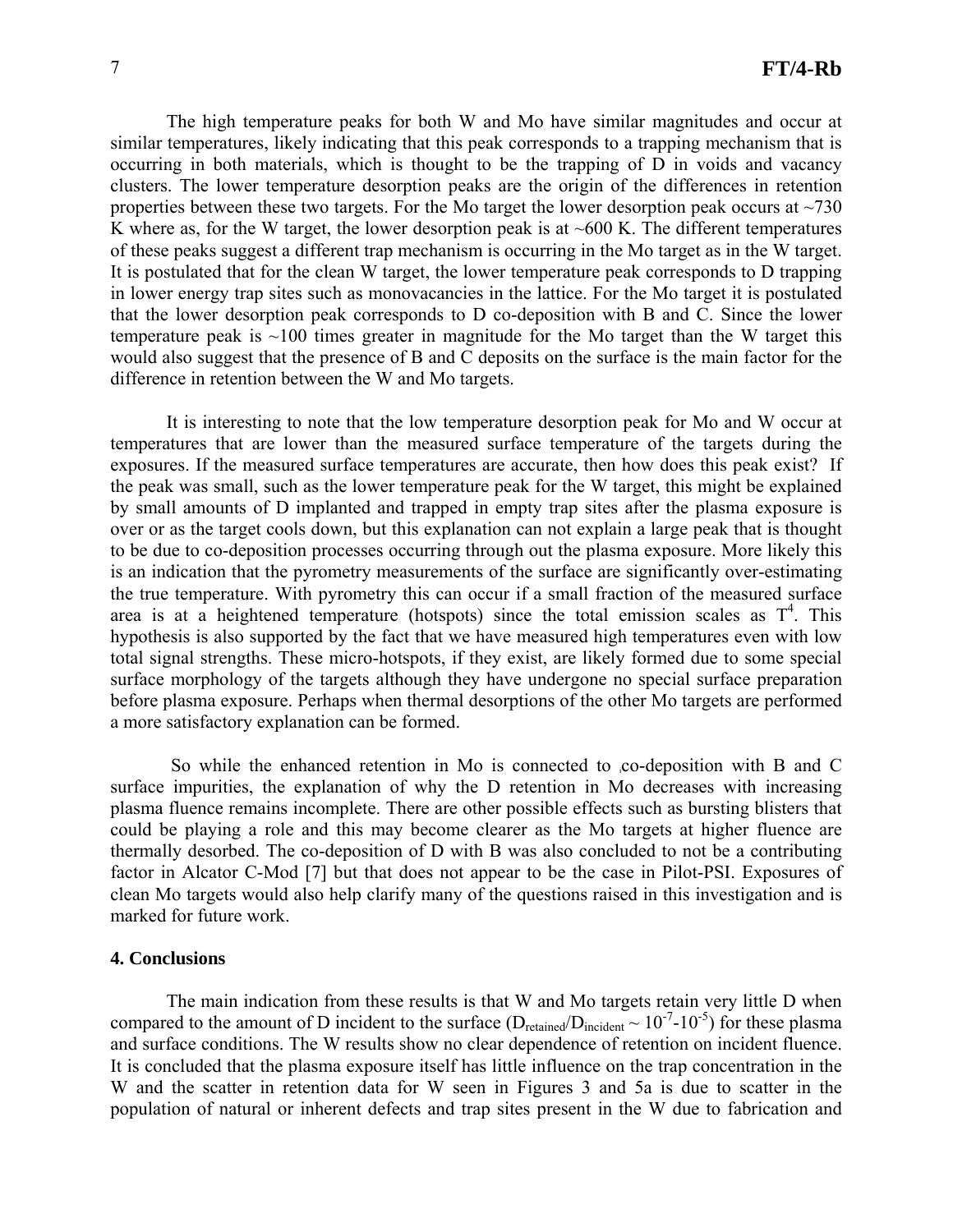The high temperature peaks for both W and Mo have similar magnitudes and occur at similar temperatures, likely indicating that this peak corresponds to a trapping mechanism that is occurring in both materials, which is thought to be the trapping of D in voids and vacancy clusters. The lower temperature desorption peaks are the origin of the differences in retention properties between these two targets. For the Mo target the lower desorption peak occurs at  $\sim$ 730 K where as, for the W target, the lower desorption peak is at  $\sim 600$  K. The different temperatures of these peaks suggest a different trap mechanism is occurring in the Mo target as in the W target. It is postulated that for the clean W target, the lower temperature peak corresponds to D trapping in lower energy trap sites such as monovacancies in the lattice. For the Mo target it is postulated that the lower desorption peak corresponds to D co-deposition with B and C. Since the lower temperature peak is  $\sim 100$  times greater in magnitude for the Mo target than the W target this would also suggest that the presence of B and C deposits on the surface is the main factor for the difference in retention between the W and Mo targets.

It is interesting to note that the low temperature desorption peak for Mo and W occur at temperatures that are lower than the measured surface temperature of the targets during the exposures. If the measured surface temperatures are accurate, then how does this peak exist? If the peak was small, such as the lower temperature peak for the W target, this might be explained by small amounts of D implanted and trapped in empty trap sites after the plasma exposure is over or as the target cools down, but this explanation can not explain a large peak that is thought to be due to co-deposition processes occurring through out the plasma exposure. More likely this is an indication that the pyrometry measurements of the surface are significantly over-estimating the true temperature. With pyrometry this can occur if a small fraction of the measured surface area is at a heightened temperature (hotspots) since the total emission scales as  $T<sup>4</sup>$ . This hypothesis is also supported by the fact that we have measured high temperatures even with low total signal strengths. These micro-hotspots, if they exist, are likely formed due to some special surface morphology of the targets although they have undergone no special surface preparation before plasma exposure. Perhaps when thermal desorptions of the other Mo targets are performed a more satisfactory explanation can be formed.

So while the enhanced retention in Mo is connected to co-deposition with B and C surface impurities, the explanation of why the D retention in Mo decreases with increasing plasma fluence remains incomplete. There are other possible effects such as bursting blisters that could be playing a role and this may become clearer as the Mo targets at higher fluence are thermally desorbed. The co-deposition of D with B was also concluded to not be a contributing factor in Alcator C-Mod [7] but that does not appear to be the case in Pilot-PSI. Exposures of clean Mo targets would also help clarify many of the questions raised in this investigation and is marked for future work.

# **4. Conclusions**

 The main indication from these results is that W and Mo targets retain very little D when compared to the amount of D incident to the surface ( $D_{retained}/D_{incident} \sim 10^{-7}$ -10<sup>-5</sup>) for these plasma and surface conditions. The W results show no clear dependence of retention on incident fluence. It is concluded that the plasma exposure itself has little influence on the trap concentration in the W and the scatter in retention data for W seen in Figures 3 and 5a is due to scatter in the population of natural or inherent defects and trap sites present in the W due to fabrication and